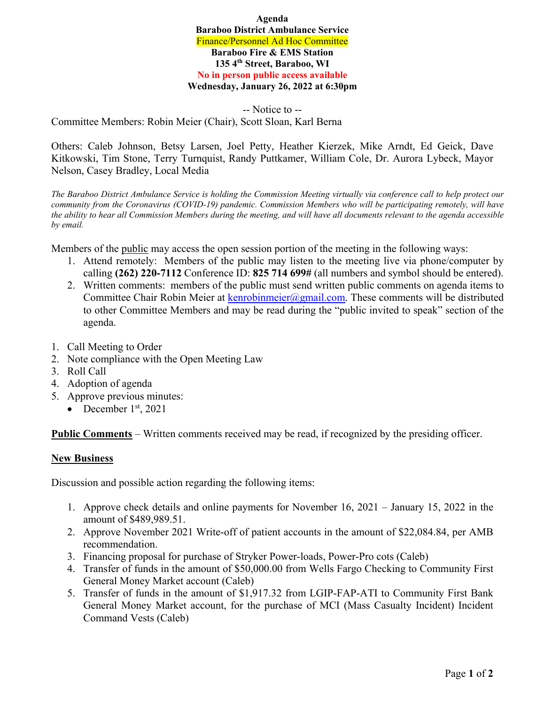**Agenda Baraboo District Ambulance Service**  Finance/Personnel Ad Hoc Committee **Baraboo Fire & EMS Station 135 4th Street, Baraboo, WI No in person public access available Wednesday, January 26, 2022 at 6:30pm** 

-- Notice to -- Committee Members: Robin Meier (Chair), Scott Sloan, Karl Berna

Others: Caleb Johnson, Betsy Larsen, Joel Petty, Heather Kierzek, Mike Arndt, Ed Geick, Dave Kitkowski, Tim Stone, Terry Turnquist, Randy Puttkamer, William Cole, Dr. Aurora Lybeck, Mayor Nelson, Casey Bradley, Local Media

*The Baraboo District Ambulance Service is holding the Commission Meeting virtually via conference call to help protect our community from the Coronavirus (COVID-19) pandemic. Commission Members who will be participating remotely, will have the ability to hear all Commission Members during the meeting, and will have all documents relevant to the agenda accessible by email.* 

Members of the public may access the open session portion of the meeting in the following ways:

- 1. Attend remotely: Members of the public may listen to the meeting live via phone/computer by calling **(262) 220-7112** Conference ID: **825 714 699#** (all numbers and symbol should be entered).
- 2. Written comments: members of the public must send written public comments on agenda items to Committee Chair Robin Meier at kenrobinmeier@gmail.com. These comments will be distributed to other Committee Members and may be read during the "public invited to speak" section of the agenda.
- 1. Call Meeting to Order
- 2. Note compliance with the Open Meeting Law
- 3. Roll Call
- 4. Adoption of agenda
- 5. Approve previous minutes:
	- December  $1<sup>st</sup>$ , 2021

**Public Comments** – Written comments received may be read, if recognized by the presiding officer.

## **New Business**

Discussion and possible action regarding the following items:

- 1. Approve check details and online payments for November 16, 2021 January 15, 2022 in the amount of \$489,989.51.
- 2. Approve November 2021 Write-off of patient accounts in the amount of \$22,084.84, per AMB recommendation.
- 3. Financing proposal for purchase of Stryker Power-loads, Power-Pro cots (Caleb)
- 4. Transfer of funds in the amount of \$50,000.00 from Wells Fargo Checking to Community First General Money Market account (Caleb)
- 5. Transfer of funds in the amount of \$1,917.32 from LGIP-FAP-ATI to Community First Bank General Money Market account, for the purchase of MCI (Mass Casualty Incident) Incident Command Vests (Caleb)